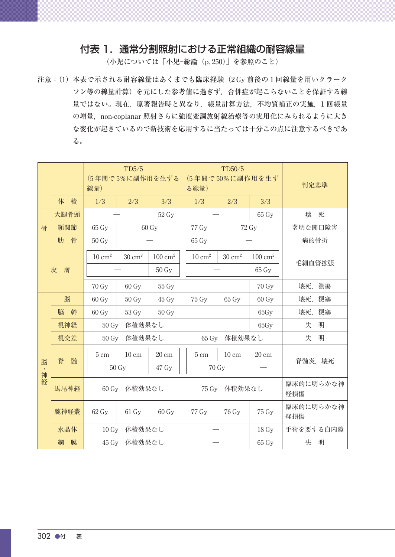## 付表 1.通常分割照射における正常組織の耐容線量

(小児については「小児−総論(p. 250)」を参照のこと)

注意:(1)  本表で示される耐容線量はあくまでも臨床経験(2 Gy 前後の 1 回線量を用いクラーク ソン等の線量計算)を元にした参考値に過ぎず,合併症が起こらないことを保証する線 量ではない。現在,原著報告時と異なり,線量計算方法,不均質補正の実施,1 回線量 の増量,non-coplanar 照射さらに強度変調放射線治療等の実用化にみられるように大き な変化が起きているので新技術を応用するに当たっては十分この点に注意するべきであ る。

|         |        | TD5/5<br>(5年間で5%に副作用を生ずる<br>線量) |                   |                    | る線量)                         | TD50/5<br>(5年間で50%に副作用を生ず | 判定基準               |                  |  |
|---------|--------|---------------------------------|-------------------|--------------------|------------------------------|---------------------------|--------------------|------------------|--|
|         | 体 積    | 1/3                             | 2/3               | 3/3                | 1/3                          | 2/3                       | 3/3                |                  |  |
|         | 大腿骨頭   |                                 |                   | 52 Gy              |                              |                           |                    | 壊<br>死           |  |
| 骨       | 顎関節    | $65\,\mathrm{Gy}$               |                   | $60 \text{ Gy}$    | 77 Gy                        |                           | 72 Gy              | 著明な開口障害          |  |
|         | 肋骨     | 50 Gy                           |                   |                    | $65\;\mathrm{Gy}$            |                           |                    | 病的骨折             |  |
| 皮<br>膚  |        | $10 \text{ cm}^2$               | $30~{\rm cm}^2$   | $100 \text{ cm}^2$ | $10 \text{ cm}^2$            | $30 \; \mathrm{cm}^2$     | $100 \text{ cm}^2$ |                  |  |
|         |        |                                 |                   | 50 Gy              |                              |                           | 65 Gy              | 毛細血管拡張           |  |
|         |        | 70 Gy                           | $60 \text{ Gy}$   | 55 Gy              |                              |                           | 70 Gy              | 壊死, 潰瘍           |  |
|         | 脳      | $60 \text{ Gy}$                 | $50 \text{ Gy}$   | $45 \,\mathrm{Gy}$ | 75 Gy                        | $65\,\mathrm{Gy}$         | $60 \text{ Gy}$    | 壊死,<br>梗塞        |  |
|         | 脳<br>幹 | 60 Gy                           | 53 Gy             | 50 Gy              |                              |                           | 65Gy               | 壊死,<br>梗塞        |  |
|         | 視神経    | 体積効果なし<br>50 Gy                 |                   |                    |                              |                           | 65Gy               | 失<br>明           |  |
|         | 視交差    | 体積効果なし<br>50 Gy                 |                   |                    | 体積効果なし<br>$65 \,\mathrm{Gy}$ |                           |                    | 失<br>明           |  |
|         | 脊<br>髄 | $5 \text{ cm}$                  | $10 \text{ cm}$   | 20 cm              | $5 \; \mathrm{cm}$           | $10 \text{ cm}$           | $20 \text{ cm}$    |                  |  |
| 脳<br>神経 |        |                                 | 50 Gy             | 47 Gy              | 70 Gy                        |                           | 脊髓炎, 壊死            |                  |  |
|         | 馬尾神経   | $60 \text{ Gv}$                 | 体積効果なし            |                    | 75 Gy<br>体積効果なし              |                           |                    | 臨床的に明らかな神<br>経損傷 |  |
|         | 腕神経叢   | $62\,\mathrm{Gy}$               | $61\,\mathrm{Gy}$ | 60 Gy              | 77 Gy                        | 76 Gy                     | 75 Gy              | 臨床的に明らかな神<br>経損傷 |  |
|         | 水晶体    | $10 \,\mathrm{Gy}$<br>体積効果なし    |                   |                    |                              |                           | $18 \,\mathrm{Gy}$ | 手術を要する白内障        |  |
|         | 膜<br>網 | 45 Gy 体積効果なし                    |                   |                    |                              |                           | 65 Gy              | 失<br>明           |  |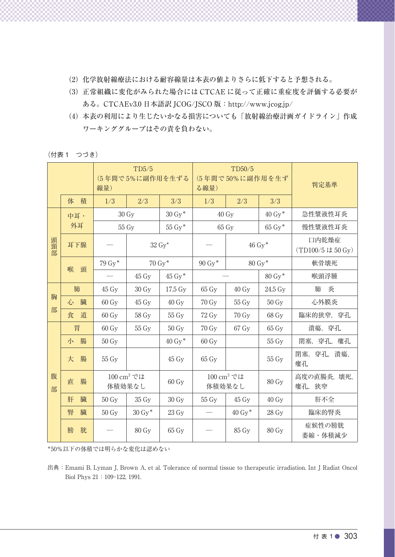- (2)  化学放射線療法における耐容線量は本表の値よりさらに低下すると予想される。
- (3)  正常組織に変化がみられた場合には CTCAE に従って正確に重症度を評価する必要が ある。CTCAEv3.0 日本語訳 JCOG/JSCO 版:http://www.jcog.jp/
- (4)  本表の利用により生じたいかなる損害についても「放射線治療計画ガイドライン」作成 ワーキンググループはその責を負わない。

(付表 1 つづき)

|        |        | TD5/5<br>(5年間で5%に副作用を生ずる<br>線量) |                                  |                    | る線量)               | TD50/5<br>(5年間で50%に副作用を生ず        | 判定基準                 |                    |                           |
|--------|--------|---------------------------------|----------------------------------|--------------------|--------------------|----------------------------------|----------------------|--------------------|---------------------------|
|        | 体 積    |                                 | 1/3                              | 2/3                | 3/3                | 1/3                              | 2/3                  | 3/3                |                           |
|        | 中耳·    | 30 Gy                           |                                  | $30 Gy*$           | $40 \text{ Gy}$    |                                  | $40 \mathrm{Gy}^*$   | 急性漿液性耳炎            |                           |
|        | 外耳     |                                 | 55 Gy                            |                    | $55 Gy^*$          | 65 Gy                            |                      | $65 \mathrm{Gy}^*$ | 慢性漿液性耳炎                   |
| 頭頸部    | 耳下腺    |                                 |                                  |                    | $32 \text{ Gy}^*$  | $46 \mathrm{Gy}^*$               |                      |                    | 口内乾燥症<br>(TD100/5 は50 Gy) |
|        |        |                                 | $79\,\mathrm{Gy}^*$              |                    | $70 Gv*$           | $90\ \mathrm{Gy}^*$              | 80 Gy*               |                    | 軟骨壊死                      |
|        | 喉<br>頭 |                                 | $45 \,\mathrm{Gy}$               | $45 \mathrm{Gy}^*$ |                    | $80 \mathrm{Gy}^*$               |                      | 喉頭浮腫               |                           |
| 胸<br>部 | 肺      |                                 | $45 \,\mathrm{Gy}$               | $30 \text{ Gy}$    | 17.5 Gy            | $65 \,\mathrm{Gy}$               | $40 \text{ Gy}$      | 24.5 Gy            | 肺<br>炎                    |
|        | 心 臓    |                                 | 60 Gy                            | 45 Gy              | 40 Gy              | 70 Gy                            | 55 Gy                | 50 Gy              | 心外膜炎                      |
|        | 食      | 道                               | 60 Gy                            | 58 Gy              | 55 Gy              | 72 Gy                            | 70 Gy                | 68 Gy              | 臨床的狭窄, 穿孔                 |
| 腹<br>部 | 胃      |                                 | $60 \text{ Gy}$                  | 55 Gy              | 50 Gy              | 70 Gy                            | 67 Gy                | $65 \,\mathrm{Gy}$ | 潰瘍,穿孔                     |
|        | 小      | 腸                               | $50 \,\mathrm{Gy}$               |                    | $40 \mathrm{Gy}^*$ | $60 \text{ Gy}$                  |                      | 55 Gy              | 閉塞, 穿孔, 瘻孔                |
|        | 大      | 腸                               | 55 Gy                            |                    | $45\;\mathrm{Gy}$  | 65 Gy                            |                      | 55 Gy              | 閉塞, 穿孔, 潰瘍,<br>瘻孔         |
|        | 直      | 腸                               | 100 cm <sup>3</sup> では<br>体積効果なし |                    | 60 Gy              | 100 cm <sup>3</sup> では<br>体積効果なし |                      | 80 Gy              | 高度の直腸炎,壊死,<br>瘻孔, 狭窄      |
|        | 肝      | 臓                               | $50 \text{ Gy}$                  | 35 Gy              | $30 \text{ Gy}$    | 55 Gy                            | $45 \,\mathrm{Gy}$   | $40 \text{ Gy}$    | 肝不全                       |
|        | 腎      | 臓                               | $50 \text{ Gy}$                  | $30 \mathrm{Gy}^*$ | $23 \text{ Gy}$    |                                  | $40 \,\mathrm{Gy}^*$ | $28 \,\mathrm{Gy}$ | 臨床的腎炎                     |
|        | 膀      | 胱                               |                                  | 80 Gy              | $65 \,\mathrm{Gy}$ |                                  | 85 Gy                | 80 Gy              | 症候性の膀胱<br>萎縮·体積減少         |

\*50%以下の体積では明らかな変化は認めない

出典: Emami B, Lyman J, Brown A, et al. Tolerance of normal tissue to therapeutic irradiation. Int J Radiat Oncol Biol Phys  $21:109-122, 1991.$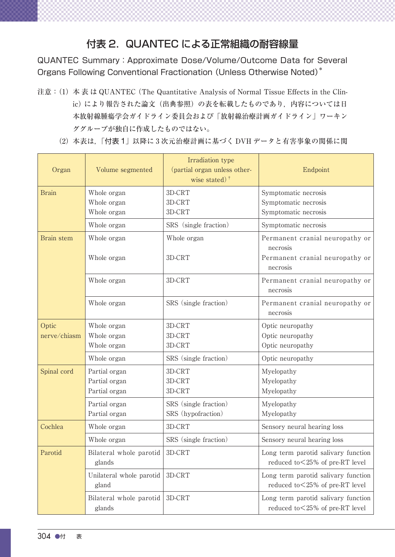## 付表 2. QUANTEC による正常組織の耐容線量

QUANTEC Summary:Approximate Dose/Volume/Outcome Data for Several Organs Following Conventional Fractionation (Unless Otherwise Noted)\*

- 注意: (1) 本表は QUANTEC (The Quantitative Analysis of Normal Tissue Effects in the Clinic) により報告された論文 (出典参照) の表を転載したものであり、内容については日 本放射線腫瘍学会ガイドライン委員会および「放射線治療計画ガイドライン」ワーキン ググループが独自に作成したものではない。
	- (2)  本表は,「付表 1」以降に 3 次元治療計画に基づく DVH データと有害事象の関係に関

| Organ                 | Volume segmented                                               | Irradiation type<br>(partial organ unless other-<br>wise stated) $\dagger$ | Endpoint                                                                                   |
|-----------------------|----------------------------------------------------------------|----------------------------------------------------------------------------|--------------------------------------------------------------------------------------------|
| <b>Brain</b>          | Whole organ<br>Whole organ<br>Whole organ                      | 3D-CRT<br>3D-CRT<br>3D-CRT                                                 | Symptomatic necrosis<br>Symptomatic necrosis<br>Symptomatic necrosis                       |
|                       | Whole organ                                                    | SRS (single fraction)                                                      | Symptomatic necrosis                                                                       |
| Brain stem            | Whole organ<br>Whole organ                                     | Whole organ<br>3D-CRT                                                      | Permanent cranial neuropathy or<br>necrosis<br>Permanent cranial neuropathy or<br>necrosis |
|                       | Whole organ                                                    | 3D-CRT                                                                     | Permanent cranial neuropathy or<br>necrosis                                                |
|                       | Whole organ                                                    | SRS (single fraction)                                                      | Permanent cranial neuropathy or<br>necrosis                                                |
| Optic<br>nerve/chiasm | Whole organ<br>Whole organ<br>Whole organ                      | 3D-CRT<br>3D-CRT<br>3D-CRT                                                 | Optic neuropathy<br>Optic neuropathy<br>Optic neuropathy                                   |
| Spinal cord           | Whole organ<br>Partial organ<br>Partial organ<br>Partial organ | SRS (single fraction)<br>3D-CRT<br>3D-CRT<br>3D-CRT                        | Optic neuropathy<br>Myelopathy<br>Myelopathy<br>Myelopathy                                 |
|                       | Partial organ<br>Partial organ                                 | SRS (single fraction)<br>SRS (hypofraction)                                | Myelopathy<br>Myelopathy                                                                   |
| Cochlea               | Whole organ                                                    | 3D-CRT                                                                     | Sensory neural hearing loss                                                                |
|                       | Whole organ                                                    | SRS (single fraction)                                                      | Sensory neural hearing loss                                                                |
| Parotid               | Bilateral whole parotid   3D-CRT<br>glands                     |                                                                            | Long term parotid salivary function<br>reduced to <25% of pre-RT level                     |
|                       | Unilateral whole parotid   3D-CRT<br>gland                     |                                                                            | Long term parotid salivary function<br>reduced to <25% of pre-RT level                     |
|                       | Bilateral whole parotid   3D-CRT<br>glands                     |                                                                            | Long term parotid salivary function<br>reduced to <25% of pre-RT level                     |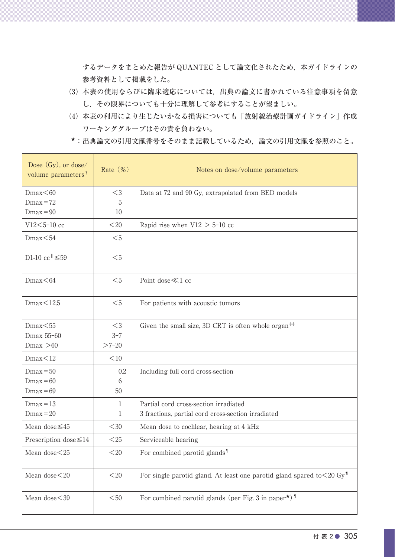するデータをまとめた報告が QUANTEC として論文化されたため、本ガイドラインの 参考資料として掲載をした。

- (3)  本表の使用ならびに臨床適応については,出典の論文に書かれている注意事項を留意 し,その限界についても十分に理解して参考にすることが望ましい。
- (4)  本表の利用により生じたいかなる損害についても「放射線治療計画ガイドライン」作成 ワーキンググループはその責を負わない。
- ★:出典論文の引用文献番号をそのまま記載しているため,論文の引用文献を参照のこと。

| Dose (Gy), or dose/<br>volume parameters <sup>†</sup> | Rate (%)        | Notes on dose/volume parameters                                                          |
|-------------------------------------------------------|-----------------|------------------------------------------------------------------------------------------|
| Dmax<60                                               | ${<}3$          | Data at 72 and 90 Gy, extrapolated from BED models                                       |
| $Dmax = 72$                                           | $5\phantom{.0}$ |                                                                                          |
| $Dmax = 90$                                           | 10 <sup>°</sup> |                                                                                          |
| V12<5-10 cc                                           | $<$ 20          | Rapid rise when $V12 > 5$ -10 cc                                                         |
| Dmax<54                                               | $<$ 5           |                                                                                          |
| D1-10 cc <sup><math>\leq 59</math></sup>              | $<$ 5           |                                                                                          |
| Dmax<64                                               | $<$ 5           | Point dose $\ll$ 1 cc                                                                    |
| Dmax<12.5                                             | $<$ 5           | For patients with acoustic tumors                                                        |
| Dmax<55                                               | $<$ 3           | Given the small size, 3D CRT is often whole organ <sup>##</sup>                          |
| Dmax 55-60                                            | $3 - 7$         |                                                                                          |
| Dmax > 60                                             | $>7-20$         |                                                                                          |
| Dmax<12                                               | $<$ 10          |                                                                                          |
| $Dmax = 50$                                           | $0.2\,$         | Including full cord cross-section                                                        |
| $Dmax = 60$                                           | 6               |                                                                                          |
| $Dmax = 69$                                           | 50              |                                                                                          |
| $Dmax = 13$                                           | $\mathbf{1}$    | Partial cord cross-section irradiated                                                    |
| $Dmax = 20$                                           | $\overline{1}$  | 3 fractions, partial cord cross-section irradiated                                       |
| Mean dose $\leq 45$                                   | $<$ 30          | Mean dose to cochlear, hearing at 4 kHz                                                  |
| Prescription dose $\leq 14$                           | $<$ 25          | Serviceable hearing                                                                      |
| Mean dose $<$ 25                                      | $<$ 20          | For combined parotid glands <sup>1</sup>                                                 |
| Mean dose<20                                          | $< \! 20$       | For single parotid gland. At least one parotid gland spared to $\leq$ 20 Gy <sup>1</sup> |
| Mean dose<39                                          | $<$ 50          | For combined parotid glands (per Fig. 3 in paper <sup>*</sup> ) <sup>1</sup>             |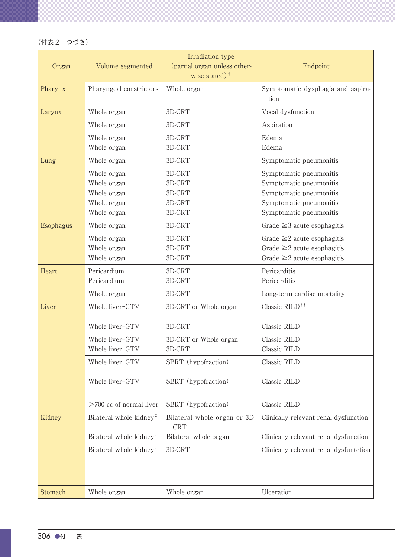| Organ     | Volume segmented                                                        | Irradiation type<br>(partial organ unless other-<br>wise stated) <sup>†</sup> | Endpoint                                                                                                                            |
|-----------|-------------------------------------------------------------------------|-------------------------------------------------------------------------------|-------------------------------------------------------------------------------------------------------------------------------------|
| Pharynx   | Pharyngeal constrictors                                                 | Whole organ                                                                   | Symptomatic dysphagia and aspira-<br>tion                                                                                           |
| Larynx    | Whole organ                                                             | 3D-CRT                                                                        | Vocal dysfunction                                                                                                                   |
|           | Whole organ                                                             | 3D-CRT                                                                        | Aspiration                                                                                                                          |
|           | Whole organ<br>Whole organ                                              | 3D-CRT<br>3D-CRT                                                              | Edema<br>Edema                                                                                                                      |
| Lung      | Whole organ                                                             | 3D-CRT                                                                        | Symptomatic pneumonitis                                                                                                             |
|           | Whole organ<br>Whole organ<br>Whole organ<br>Whole organ<br>Whole organ | 3D-CRT<br>3D-CRT<br>3D-CRT<br>3D-CRT<br>3D-CRT                                | Symptomatic pneumonitis<br>Symptomatic pneumonitis<br>Symptomatic pneumonitis<br>Symptomatic pneumonitis<br>Symptomatic pneumonitis |
| Esophagus | Whole organ                                                             | 3D-CRT                                                                        | Grade $\geq$ 3 acute esophagitis                                                                                                    |
|           | Whole organ<br>Whole organ<br>Whole organ                               | 3D-CRT<br>3D-CRT<br>3D-CRT                                                    | Grade $\geq 2$ acute esophagitis<br>Grade $\geq 2$ acute esophagitis<br>Grade $\geq 2$ acute esophagitis                            |
| Heart     | Pericardium<br>Pericardium                                              | 3D-CRT<br>3D-CRT                                                              | Pericarditis<br>Pericarditis                                                                                                        |
|           | Whole organ                                                             | 3D-CRT                                                                        | Long-term cardiac mortality                                                                                                         |
| Liver     | Whole liver-GTV                                                         | 3D-CRT or Whole organ                                                         | Classic RILD <sup>††</sup>                                                                                                          |
|           | Whole liver-GTV                                                         | 3D-CRT                                                                        | Classic RILD                                                                                                                        |
|           | Whole liver-GTV<br>Whole liver-GTV                                      | 3D-CRT or Whole organ<br>3D-CRT                                               | Classic RILD<br>Classic RILD                                                                                                        |
|           | Whole liver-GTV                                                         | SBRT (hypofraction)                                                           | Classic RILD                                                                                                                        |
|           | Whole liver-GTV                                                         | SBRT (hypofraction)                                                           | Classic RILD                                                                                                                        |
|           | $>700$ cc of normal liver                                               | SBRT (hypofraction)                                                           | Classic RILD                                                                                                                        |
| Kidney    | Bilateral whole kidney <sup>#</sup>                                     | Bilateral whole organ or 3D-<br><b>CRT</b>                                    | Clinically relevant renal dysfunction                                                                                               |
|           | Bilateral whole kidney <sup>#</sup>                                     | Bilateral whole organ                                                         | Clinically relevant renal dysfunction                                                                                               |
|           | Bilateral whole kidney <sup>#</sup>                                     | $3D-CRT$                                                                      | Clinically relevant renal dysfuntction                                                                                              |
| Stomach   | Whole organ                                                             | Whole organ                                                                   | Ulceration                                                                                                                          |

(付表 2 つづき)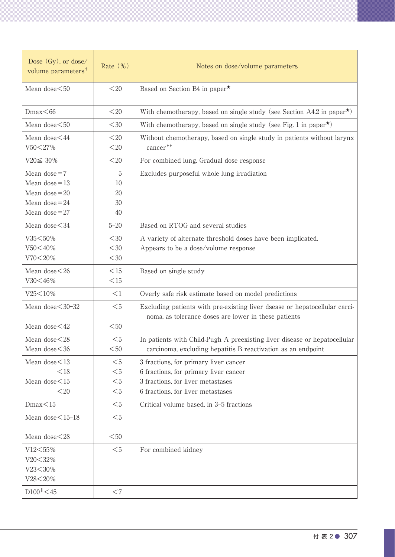| Dose (Gy), or dose/<br>volume parameters <sup>†</sup>                                         | Rate (%)                                       | Notes on dose/volume parameters                                                                                                           |
|-----------------------------------------------------------------------------------------------|------------------------------------------------|-------------------------------------------------------------------------------------------------------------------------------------------|
| Mean dose $<$ 50                                                                              | $<$ 20                                         | Based on Section B4 in paper*                                                                                                             |
| Dmax<66                                                                                       | $<$ 20                                         | With chemotherapy, based on single study (see Section A4.2 in paper <sup>*</sup> )                                                        |
| Mean dose $<$ 50                                                                              | $<$ 30                                         | With chemotherapy, based on single study (see Fig. 1 in paper <sup>*</sup> )                                                              |
| Mean dose <44<br>V50<27%                                                                      | $<$ 20<br>$<$ 20                               | Without chemotherapy, based on single study in patients without larynx<br>cancer**                                                        |
| $V20 \leq 30\%$                                                                               | $<$ 20                                         | For combined lung. Gradual dose response                                                                                                  |
| Mean dose $=7$<br>Mean dose $= 13$<br>Mean dose $=20$<br>Mean dose $= 24$<br>Mean dose = $27$ | $\overline{5}$<br>$10\,$<br>$20\,$<br>30<br>40 | Excludes purposeful whole lung irradiation                                                                                                |
| Mean dose < 34                                                                                | $5 - 20$                                       | Based on RTOG and several studies                                                                                                         |
| V35<50%<br>$V50< 40\%$<br>$V70< 20\%$                                                         | $<$ 30<br>$<$ 30<br>$<$ 30                     | A variety of alternate threshold doses have been implicated.<br>Appears to be a dose/volume response                                      |
| Mean dose $<$ 26<br>V30<46%                                                                   | <15<br><15                                     | Based on single study                                                                                                                     |
| $V25 < 10\%$                                                                                  | <1                                             | Overly safe risk estimate based on model predictions                                                                                      |
| Mean dose < 30-32                                                                             | $<$ 5                                          | Excluding patients with pre-existing liver dsease or hepatocellular carci-<br>noma, as tolerance doses are lower in these patients        |
| Mean dose $<$ 42                                                                              | $<$ 50                                         |                                                                                                                                           |
| Mean dose<28<br>Mean dose $<$ 36                                                              | $<$ 5<br>$<$ 50                                | In patients with Child-Pugh A preexisting liver disease or hepatocellular<br>carcinoma, excluding hepatitis B reactivation as an endpoint |
| Mean dose<13                                                                                  | $<$ 5                                          | 3 fractions, for primary liver cancer                                                                                                     |
| < 18<br>Mean dose $<$ 15                                                                      | $<$ 5<br>$<$ 5                                 | 6 fractions, for primary liver cancer<br>3 fractions, for liver metastases                                                                |
| $<$ 20                                                                                        | $<$ 5                                          | 6 fractions, for liver metastases                                                                                                         |
| Dmax<15                                                                                       | $<$ 5                                          | Critical volume based, in 3-5 fractions                                                                                                   |
|                                                                                               | $<$ 5                                          |                                                                                                                                           |
| Mean dose $<$ 15-18                                                                           |                                                |                                                                                                                                           |
| Mean dose<28                                                                                  | $<$ 50                                         |                                                                                                                                           |
| V12<55%<br>$V20 < 32\%$<br>V23<30%<br>V28<20%                                                 | $<$ 5                                          | For combined kidney                                                                                                                       |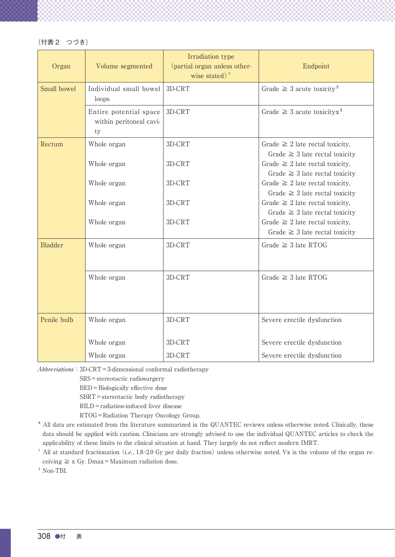| (付表 2 | つづき) |
|-------|------|
|-------|------|

| Organ       | Volume segmented                                        | Irradiation type<br>(partial organ unless other-<br>wise stated) $\dagger$ | Endpoint                                                                    |
|-------------|---------------------------------------------------------|----------------------------------------------------------------------------|-----------------------------------------------------------------------------|
| Small bowel | Individual small bowel 3D-CRT<br>loops                  |                                                                            | Grade $\geq$ 3 acute toxicity <sup>§</sup>                                  |
|             | Entire potential space<br>within peritoneal cavi-<br>ty | 3D-CRT                                                                     | Grade $\geq$ 3 acute toxicityx <sup>§</sup>                                 |
| Rectum      | Whole organ                                             | 3D-CRT                                                                     | Grade $\geq 2$ late rectal toxicity,<br>Grade $\geq$ 3 late rectal toxicity |
|             | Whole organ                                             | 3D-CRT                                                                     | Grade $\geq 2$ late rectal toxicity,<br>Grade $\geq$ 3 late rectal toxicity |
|             | Whole organ                                             | 3D-CRT                                                                     | Grade $\geq 2$ late rectal toxicity,<br>Grade $\geq$ 3 late rectal toxicity |
|             | Whole organ                                             | 3D-CRT                                                                     | Grade $\geq 2$ late rectal toxicity,<br>Grade $\geq$ 3 late rectal toxicity |
|             | Whole organ                                             | 3D-CRT                                                                     | Grade $\geq 2$ late rectal toxicity,<br>Grade $\geq$ 3 late rectal toxicity |
| Bladder     | Whole organ                                             | 3D-CRT                                                                     | Grade $\geq$ 3 late RTOG                                                    |
|             | Whole organ                                             | 3D-CRT                                                                     | Grade $\geq$ 3 late RTOG                                                    |
| Penile bulb | Whole organ                                             | 3D-CRT                                                                     | Severe erectile dysfunction                                                 |
|             |                                                         |                                                                            |                                                                             |
|             | Whole organ                                             | 3D-CRT                                                                     | Severe erectile dysfunction                                                 |
|             | Whole organ                                             | 3D-CRT                                                                     | Severe erectile dysfunction                                                 |

Abbreviations: 3D-CRT=3-dimensional conformal radiotherapy 

SRS=stereotactic radiosurgery 

BED = Biologically effective dose

SBRT=stereotactic body radiotherapy 

RILD=radiation-induced liver disease 

RTOG=Radiation Therapy Oncology Group.

- \*  All data are estimated from the literature summarized in the QUANTEC reviews unless otherwise noted. Clinically, these  data should be applied with caution. Clinicians are strongly advised to use the individual QUANTEC articles to check the applicability of these limits to the clinical situation at hand. They largely do not reflect modern IMRT.
- <sup>†</sup> All at standard fractionation (i.e., 1.8-2.0 Gy per daily fraction) unless otherwise noted. Vx is the volume of the organ receiving  $\ge x$  Gy. Dmax = Maximum radiation dose.

 $^\ddag$  Non-TBI.